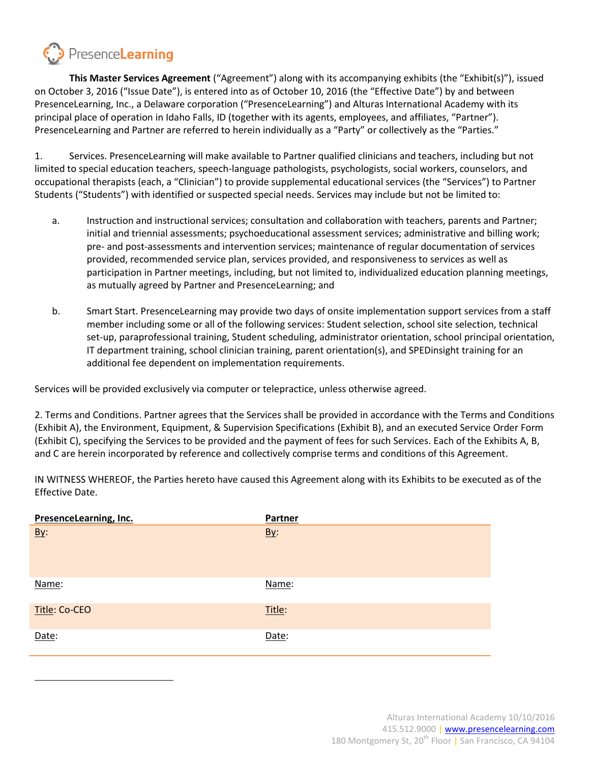

**This Master Services Agreement** ("Agreement") along with its accompanying exhibits (the "Exhibit(s)"), issued on October 3, 2016 ("Issue Date"), is entered into as of October 10, 2016 (the "Effective Date") by and between PresenceLearning, Inc., a Delaware corporation ("PresenceLearning") and Alturas International Academy with its principal place of operation in Idaho Falls, ID (together with its agents, employees, and affiliates, "Partner"). PresenceLearning and Partner are referred to herein individually as a "Party" or collectively as the "Parties."

1. Services. PresenceLearning will make available to Partner qualified clinicians and teachers, including but not limited to special education teachers, speech-language pathologists, psychologists, social workers, counselors, and occupational therapists (each, a "Clinician") to provide supplemental educational services (the "Services") to Partner Students ("Students") with identified or suspected special needs. Services may include but not be limited to:

- a. Instruction and instructional services; consultation and collaboration with teachers, parents and Partner; initial and triennial assessments; psychoeducational assessment services; administrative and billing work; pre- and post-assessments and intervention services; maintenance of regular documentation of services provided, recommended service plan, services provided, and responsiveness to services as well as participation in Partner meetings, including, but not limited to, individualized education planning meetings, as mutually agreed by Partner and PresenceLearning; and
- b. Smart Start. PresenceLearning may provide two days of onsite implementation support services from a staff member including some or all of the following services: Student selection, school site selection, technical set-up, paraprofessional training, Student scheduling, administrator orientation, school principal orientation, IT department training, school clinician training, parent orientation(s), and SPEDinsight training for an additional fee dependent on implementation requirements.

Services will be provided exclusively via computer or telepractice, unless otherwise agreed.

2. Terms and Conditions. Partner agrees that the Services shall be provided in accordance with the Terms and Conditions (Exhibit A), the Environment, Equipment, & Supervision Specifications (Exhibit B), and an executed Service Order Form (Exhibit C), specifying the Services to be provided and the payment of fees for such Services. Each of the Exhibits A, B, and C are herein incorporated by reference and collectively comprise terms and conditions of this Agreement.

IN WITNESS WHEREOF, the Parties hereto have caused this Agreement along with its Exhibits to be executed as of the Effective Date.

| PresenceLearning, Inc. | Partner    |
|------------------------|------------|
| <u>By:</u>             | <u>By:</u> |
| Name:                  | Name:      |
| Title: Co-CEO          | Title:     |
| Date:                  | Date:      |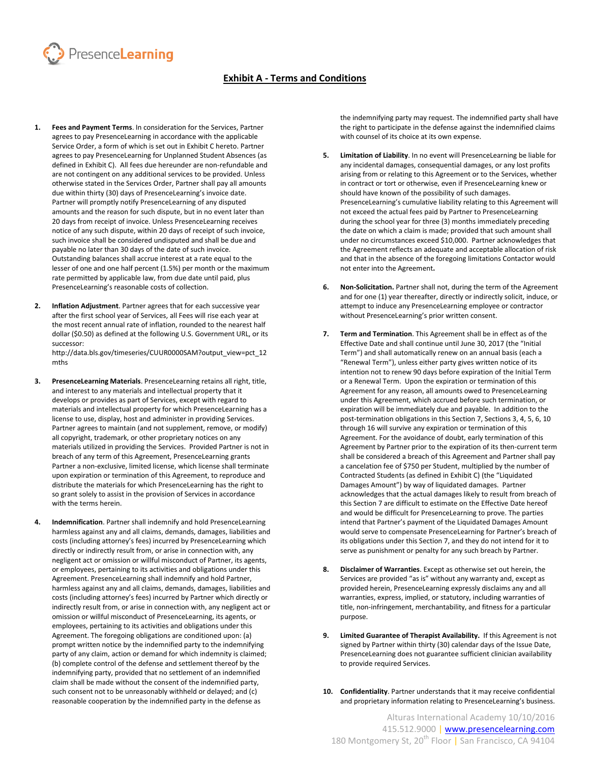

# **Exhibit A - Terms and Conditions**

- **1. Fees and Payment Terms**. In consideration for the Services, Partner agrees to pay PresenceLearning in accordance with the applicable Service Order, a form of which is set out in Exhibit C hereto. Partner agrees to pay PresenceLearning for Unplanned Student Absences (as defined in Exhibit C). All fees due hereunder are non-refundable and are not contingent on any additional services to be provided. Unless otherwise stated in the Services Order, Partner shall pay all amounts due within thirty (30) days of PresenceLearning's invoice date. Partner will promptly notify PresenceLearning of any disputed amounts and the reason for such dispute, but in no event later than 20 days from receipt of invoice. Unless PresenceLearning receives notice of any such dispute, within 20 days of receipt of such invoice, such invoice shall be considered undisputed and shall be due and payable no later than 30 days of the date of such invoice. Outstanding balances shall accrue interest at a rate equal to the lesser of one and one half percent (1.5%) per month or the maximum rate permitted by applicable law, from due date until paid, plus PresenceLearning's reasonable costs of collection.
- **2. Inflation Adjustment**. Partner agrees that for each successive year after the first school year of Services, all Fees will rise each year at the most recent annual rate of inflation, rounded to the nearest half dollar (\$0.50) as defined at the following U.S. Government URL, or its successor:

http://data.bls.gov/timeseries/CUUR0000SAM?output\_view=pct\_12 mths

- **3. PresenceLearning Materials**. PresenceLearning retains all right, title, and interest to any materials and intellectual property that it develops or provides as part of Services, except with regard to materials and intellectual property for which PresenceLearning has a license to use, display, host and administer in providing Services. Partner agrees to maintain (and not supplement, remove, or modify) all copyright, trademark, or other proprietary notices on any materials utilized in providing the Services. Provided Partner is not in breach of any term of this Agreement, PresenceLearning grants Partner a non-exclusive, limited license, which license shall terminate upon expiration or termination of this Agreement, to reproduce and distribute the materials for which PresenceLearning has the right to so grant solely to assist in the provision of Services in accordance with the terms herein.
- **4. Indemnification**. Partner shall indemnify and hold PresenceLearning harmless against any and all claims, demands, damages, liabilities and costs (including attorney's fees) incurred by PresenceLearning which directly or indirectly result from, or arise in connection with, any negligent act or omission or willful misconduct of Partner, its agents, or employees, pertaining to its activities and obligations under this Agreement. PresenceLearning shall indemnify and hold Partner, harmless against any and all claims, demands, damages, liabilities and costs (including attorney's fees) incurred by Partner which directly or indirectly result from, or arise in connection with, any negligent act or omission or willful misconduct of PresenceLearning, its agents, or employees, pertaining to its activities and obligations under this Agreement. The foregoing obligations are conditioned upon: (a) prompt written notice by the indemnified party to the indemnifying party of any claim, action or demand for which indemnity is claimed; (b) complete control of the defense and settlement thereof by the indemnifying party, provided that no settlement of an indemnified claim shall be made without the consent of the indemnified party, such consent not to be unreasonably withheld or delayed; and (c) reasonable cooperation by the indemnified party in the defense as

the indemnifying party may request. The indemnified party shall have the right to participate in the defense against the indemnified claims with counsel of its choice at its own expense.

- **5. Limitation of Liability**. In no event will PresenceLearning be liable for any incidental damages, consequential damages, or any lost profits arising from or relating to this Agreement or to the Services, whether in contract or tort or otherwise, even if PresenceLearning knew or should have known of the possibility of such damages. PresenceLearning's cumulative liability relating to this Agreement will not exceed the actual fees paid by Partner to PresenceLearning during the school year for three (3) months immediately preceding the date on which a claim is made; provided that such amount shall under no circumstances exceed \$10,000. Partner acknowledges that the Agreement reflects an adequate and acceptable allocation of risk and that in the absence of the foregoing limitations Contactor would not enter into the Agreement**.**
- **6. Non-Solicitation.** Partner shall not, during the term of the Agreement and for one (1) year thereafter, directly or indirectly solicit, induce, or attempt to induce any PresenceLearning employee or contractor without PresenceLearning's prior written consent.
- **7. Term and Termination**. This Agreement shall be in effect as of the Effective Date and shall continue until June 30, 2017 (the "Initial Term") and shall automatically renew on an annual basis (each a "Renewal Term"), unless either party gives written notice of its intention not to renew 90 days before expiration of the Initial Term or a Renewal Term. Upon the expiration or termination of this Agreement for any reason, all amounts owed to PresenceLearning under this Agreement, which accrued before such termination, or expiration will be immediately due and payable. In addition to the post-termination obligations in this Section 7, Sections 3, 4, 5, 6, 10 through 16 will survive any expiration or termination of this Agreement. For the avoidance of doubt, early termination of this Agreement by Partner prior to the expiration of its then-current term shall be considered a breach of this Agreement and Partner shall pay a cancelation fee of \$750 per Student, multiplied by the number of Contracted Students (as defined in Exhibit C) (the "Liquidated Damages Amount") by way of liquidated damages. Partner acknowledges that the actual damages likely to result from breach of this Section 7 are difficult to estimate on the Effective Date hereof and would be difficult for PresenceLearning to prove. The parties intend that Partner's payment of the Liquidated Damages Amount would serve to compensate PresenceLearning for Partner's breach of its obligations under this Section 7, and they do not intend for it to serve as punishment or penalty for any such breach by Partner.
- **8. Disclaimer of Warranties**. Except as otherwise set out herein, the Services are provided "as is" without any warranty and, except as provided herein, PresenceLearning expressly disclaims any and all warranties, express, implied, or statutory, including warranties of title, non-infringement, merchantability, and fitness for a particular purpose.
- **9. Limited Guarantee of Therapist Availability.** If this Agreement is not signed by Partner within thirty (30) calendar days of the Issue Date, PresenceLearning does not guarantee sufficient clinician availability to provide required Services.
- **10. Confidentiality**. Partner understands that it may receive confidential and proprietary information relating to PresenceLearning's business.

Alturas International Academy 10/10/2016 415.512.9000 | [www.presencelearning.com](http://www.presencelearning.com/) 180 Montgomery St, 20<sup>th</sup> Floor | San Francisco, CA 94104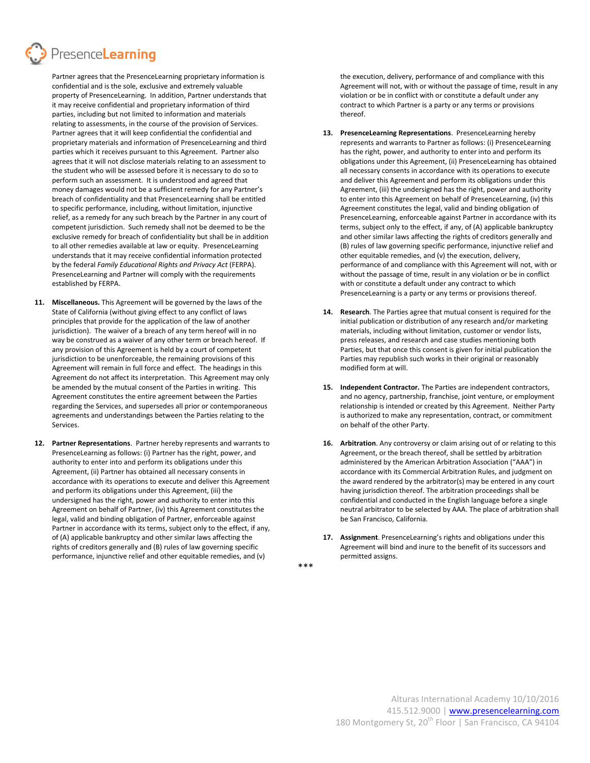Presence**Learning** 

Partner agrees that the PresenceLearning proprietary information is confidential and is the sole, exclusive and extremely valuable property of PresenceLearning. In addition, Partner understands that it may receive confidential and proprietary information of third parties, including but not limited to information and materials relating to assessments, in the course of the provision of Services. Partner agrees that it will keep confidential the confidential and proprietary materials and information of PresenceLearning and third parties which it receives pursuant to this Agreement. Partner also agrees that it will not disclose materials relating to an assessment to the student who will be assessed before it is necessary to do so to perform such an assessment. It is understood and agreed that money damages would not be a sufficient remedy for any Partner's breach of confidentiality and that PresenceLearning shall be entitled to specific performance, including, without limitation, injunctive relief, as a remedy for any such breach by the Partner in any court of competent jurisdiction. Such remedy shall not be deemed to be the exclusive remedy for breach of confidentiality but shall be in addition to all other remedies available at law or equity. PresenceLearning understands that it may receive confidential information protected by the federal *Family Educational Rights and Privacy Act* (FERPA). PresenceLearning and Partner will comply with the requirements established by FERPA.

- **11. Miscellaneous.** This Agreement will be governed by the laws of the State of California (without giving effect to any conflict of laws principles that provide for the application of the law of another jurisdiction). The waiver of a breach of any term hereof will in no way be construed as a waiver of any other term or breach hereof. If any provision of this Agreement is held by a court of competent jurisdiction to be unenforceable, the remaining provisions of this Agreement will remain in full force and effect. The headings in this Agreement do not affect its interpretation. This Agreement may only be amended by the mutual consent of the Parties in writing. This Agreement constitutes the entire agreement between the Parties regarding the Services, and supersedes all prior or contemporaneous agreements and understandings between the Parties relating to the Services.
- **12. Partner Representations**. Partner hereby represents and warrants to PresenceLearning as follows: (i) Partner has the right, power, and authority to enter into and perform its obligations under this Agreement, (ii) Partner has obtained all necessary consents in accordance with its operations to execute and deliver this Agreement and perform its obligations under this Agreement, (iii) the undersigned has the right, power and authority to enter into this Agreement on behalf of Partner, (iv) this Agreement constitutes the legal, valid and binding obligation of Partner, enforceable against Partner in accordance with its terms, subject only to the effect, if any, of (A) applicable bankruptcy and other similar laws affecting the rights of creditors generally and (B) rules of law governing specific performance, injunctive relief and other equitable remedies, and (v)

the execution, delivery, performance of and compliance with this Agreement will not, with or without the passage of time, result in any violation or be in conflict with or constitute a default under any contract to which Partner is a party or any terms or provisions thereof.

- **13. PresenceLearning Representations**. PresenceLearning hereby represents and warrants to Partner as follows: (i) PresenceLearning has the right, power, and authority to enter into and perform its obligations under this Agreement, (ii) PresenceLearning has obtained all necessary consents in accordance with its operations to execute and deliver this Agreement and perform its obligations under this Agreement, (iii) the undersigned has the right, power and authority to enter into this Agreement on behalf of PresenceLearning, (iv) this Agreement constitutes the legal, valid and binding obligation of PresenceLearning, enforceable against Partner in accordance with its terms, subject only to the effect, if any, of (A) applicable bankruptcy and other similar laws affecting the rights of creditors generally and (B) rules of law governing specific performance, injunctive relief and other equitable remedies, and (v) the execution, delivery, performance of and compliance with this Agreement will not, with or without the passage of time, result in any violation or be in conflict with or constitute a default under any contract to which PresenceLearning is a party or any terms or provisions thereof.
- **14. Research**. The Parties agree that mutual consent is required for the initial publication or distribution of any research and/or marketing materials, including without limitation, customer or vendor lists, press releases, and research and case studies mentioning both Parties, but that once this consent is given for initial publication the Parties may republish such works in their original or reasonably modified form at will.
- **15. Independent Contractor.** The Parties are independent contractors, and no agency, partnership, franchise, joint venture, or employment relationship is intended or created by this Agreement. Neither Party is authorized to make any representation, contract, or commitment on behalf of the other Party.
- **16. Arbitration**. Any controversy or claim arising out of or relating to this Agreement, or the breach thereof, shall be settled by arbitration administered by the American Arbitration Association ("AAA") in accordance with its Commercial Arbitration Rules, and judgment on the award rendered by the arbitrator(s) may be entered in any court having jurisdiction thereof. The arbitration proceedings shall be confidential and conducted in the English language before a single neutral arbitrator to be selected by AAA. The place of arbitration shall be San Francisco, California.
- **17. Assignment**. PresenceLearning's rights and obligations under this Agreement will bind and inure to the benefit of its successors and permitted assigns.

\*\*\*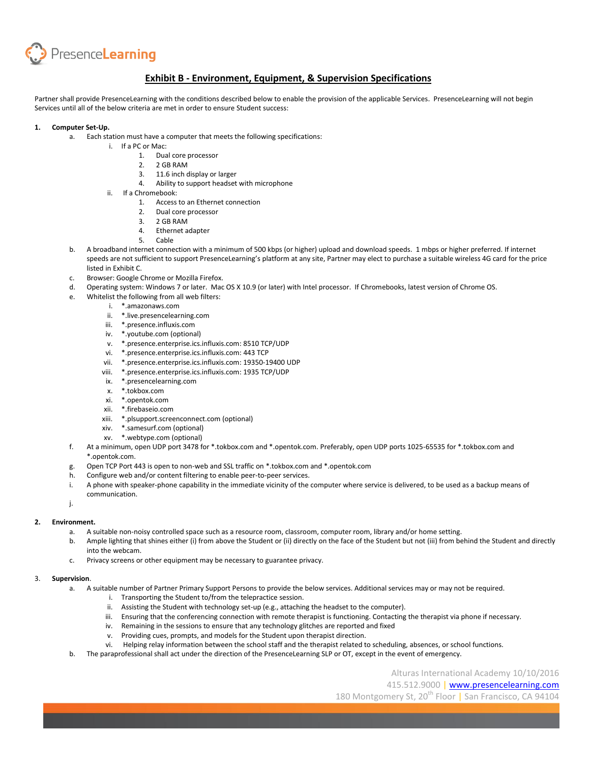

## **Exhibit B - Environment, Equipment, & Supervision Specifications**

Partner shall provide PresenceLearning with the conditions described below to enable the provision of the applicable Services. PresenceLearning will not begin Services until all of the below criteria are met in order to ensure Student success:

#### **1. Computer Set-Up.**

- a. Each station must have a computer that meets the following specifications:
	- i. If a PC or Mac:
		- 1. Dual core processor
		- 2. 2 GB RAM
		- 3. 11.6 inch display or larger
		- 4. Ability to support headset with microphone
		- ii. If a Chromebook:
			- 1. Access to an Ethernet connection
			- 2. Dual core processor
			- 3. 2 GB RAM
			- 4. Ethernet adapter 5. Cable
	- b. A broadband internet connection with a minimum of 500 kbps (or higher) upload and download speeds. 1 mbps or higher preferred. If internet speeds are not sufficient to support PresenceLearning's platform at any site, Partner may elect to purchase a suitable wireless 4G card for the price listed in Exhibit C.
	- c. Browser: Google Chrome or Mozilla Firefox.
	- d. Operating system: Windows 7 or later. Mac OS X 10.9 (or later) with Intel processor. If Chromebooks, latest version of Chrome OS.
	- e. Whitelist the following from all web filters:
		- i. \*.amazonaws.com
		- ii. \*.live.presencelearning.com
		- iii. \*.presence.influxis.com
		- iv. \*.youtube.com (optional)
		- v. \*.presence.enterprise.ics.influxis.com: 8510 TCP/UDP
		- vi. \*.presence.enterprise.ics.influxis.com: 443 TCP
		- vii. \*.presence.enterprise.ics.influxis.com: 19350-19400 UDP
		- viii. \*.presence.enterprise.ics.influxis.com: 1935 TCP/UDP
		- ix. \*.presencelearning.com
		- x. \*.tokbox.com
		- xi. \*.opentok.com
		- xii. \*.firebaseio.com
		- xiii. \*.plsupport.screenconnect.com (optional)
		- xiv. \*.samesurf.com (optional)
		- xv. \*.webtype.com (optional)
	- f. At a minimum, open UDP port 3478 for \*.tokbox.com and \*.opentok.com. Preferably, open UDP ports 1025-65535 for \*.tokbox.com and \*.opentok.com.
	- g. Open TCP Port 443 is open to non-web and SSL traffic on \*.tokbox.com and \*.opentok.com
	- h. Configure web and/or content filtering to enable peer-to-peer services.
	- i. A phone with speaker-phone capability in the immediate vicinity of the computer where service is delivered, to be used as a backup means of communication.
	- j.

#### **2. Environment.**

- a. A suitable non-noisy controlled space such as a resource room, classroom, computer room, library and/or home setting.
- b. Ample lighting that shines either (i) from above the Student or (ii) directly on the face of the Student but not (iii) from behind the Student and directly into the webcam.
- c. Privacy screens or other equipment may be necessary to guarantee privacy.

#### 3. **Supervision**.

- a. A suitable number of Partner Primary Support Persons to provide the below services. Additional services may or may not be required.
	- i. Transporting the Student to/from the telepractice session.
	- ii. Assisting the Student with technology set-up (e.g., attaching the headset to the computer).
	- iii. Ensuring that the conferencing connection with remote therapist is functioning. Contacting the therapist via phone if necessary.
	- iv. Remaining in the sessions to ensure that any technology glitches are reported and fixed
	- v. Providing cues, prompts, and models for the Student upon therapist direction.
	- vi. Helping relay information between the school staff and the therapist related to scheduling, absences, or school functions.
- b. The paraprofessional shall act under the direction of the PresenceLearning SLP or OT, except in the event of emergency.

Alturas International Academy 10/10/2016 415.512.9000 | [www.presencelearning.com](http://www.presencelearning.com/) 180 Montgomery St, 20<sup>th</sup> Floor | San Francisco, CA 94104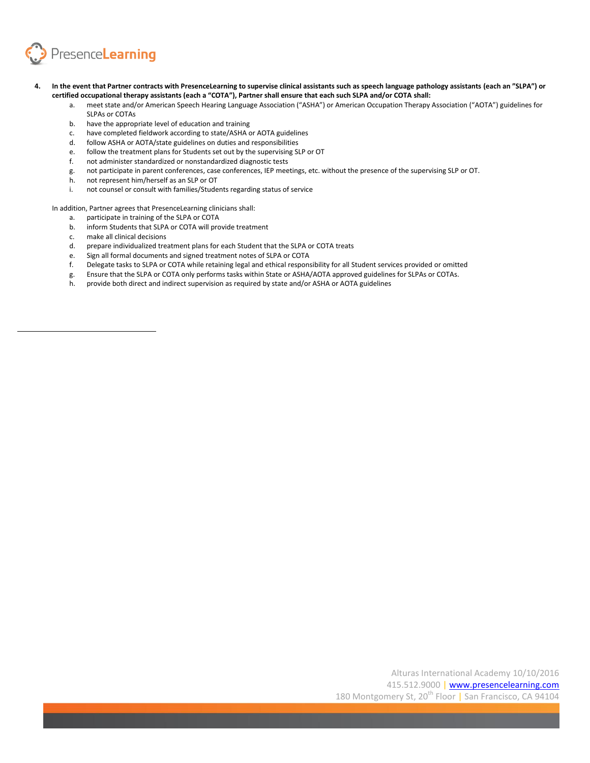

- **4. In the event that Partner contracts with PresenceLearning to supervise clinical assistants such as speech language pathology assistants (each an "SLPA") or certified occupational therapy assistants (each a "COTA"), Partner shall ensure that each such SLPA and/or COTA shall:** 
	- a. meet state and/or American Speech Hearing Language Association ("ASHA") or American Occupation Therapy Association ("AOTA") guidelines for SLPAs or COTAs
	- b. have the appropriate level of education and training
	- c. have completed fieldwork according to state/ASHA or AOTA guidelines
	- d. follow ASHA or AOTA/state guidelines on duties and responsibilities
	- e. follow the treatment plans for Students set out by the supervising SLP or OT
	- f. not administer standardized or nonstandardized diagnostic tests
	- g. not participate in parent conferences, case conferences, IEP meetings, etc. without the presence of the supervising SLP or OT.
	- h. not represent him/herself as an SLP or OT
	- i. not counsel or consult with families/Students regarding status of service

In addition, Partner agrees that PresenceLearning clinicians shall:

- a. participate in training of the SLPA or COTA
- b. inform Students that SLPA or COTA will provide treatment
- c. make all clinical decisions
- d. prepare individualized treatment plans for each Student that the SLPA or COTA treats
- e. Sign all formal documents and signed treatment notes of SLPA or COTA
- f. Delegate tasks to SLPA or COTA while retaining legal and ethical responsibility for all Student services provided or omitted
- g. Ensure that the SLPA or COTA only performs tasks within State or ASHA/AOTA approved guidelines for SLPAs or COTAs.
- h. provide both direct and indirect supervision as required by state and/or ASHA or AOTA guidelines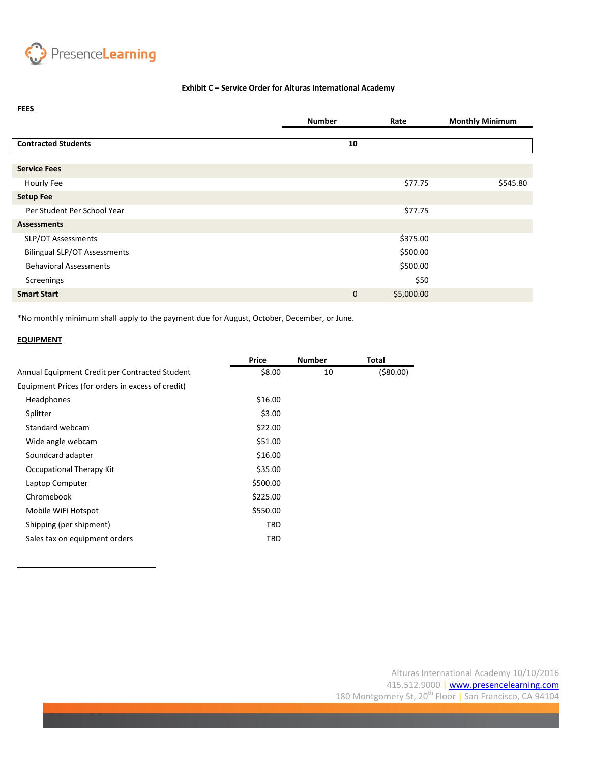

## **Exhibit C - Service Order for Alturas International Academy**

| <b>FEES</b>                         |               |            |                        |
|-------------------------------------|---------------|------------|------------------------|
|                                     | <b>Number</b> | Rate       | <b>Monthly Minimum</b> |
|                                     |               |            |                        |
| <b>Contracted Students</b>          | 10            |            |                        |
|                                     |               |            |                        |
| <b>Service Fees</b>                 |               |            |                        |
| Hourly Fee                          |               | \$77.75    | \$545.80               |
| <b>Setup Fee</b>                    |               |            |                        |
| Per Student Per School Year         |               | \$77.75    |                        |
| <b>Assessments</b>                  |               |            |                        |
| SLP/OT Assessments                  |               | \$375.00   |                        |
| <b>Bilingual SLP/OT Assessments</b> |               | \$500.00   |                        |
| <b>Behavioral Assessments</b>       |               | \$500.00   |                        |
| Screenings                          |               | \$50       |                        |
| <b>Smart Start</b>                  | $\mathbf 0$   | \$5,000.00 |                        |
|                                     |               |            |                        |

\*No monthly minimum shall apply to the payment due for August, October, December, or June.

# **EQUIPMENT**

|                                                   | Price    | <b>Number</b> | Total        |
|---------------------------------------------------|----------|---------------|--------------|
| Annual Equipment Credit per Contracted Student    | \$8.00   | 10            | $($ \$80.00) |
| Equipment Prices (for orders in excess of credit) |          |               |              |
| Headphones                                        | \$16.00  |               |              |
| Splitter                                          | \$3.00   |               |              |
| Standard webcam                                   | \$22.00  |               |              |
| Wide angle webcam                                 | \$51.00  |               |              |
| Soundcard adapter                                 | \$16.00  |               |              |
| Occupational Therapy Kit                          | \$35.00  |               |              |
| Laptop Computer                                   | \$500.00 |               |              |
| Chromebook                                        | \$225.00 |               |              |
| Mobile WiFi Hotspot                               | \$550.00 |               |              |
| Shipping (per shipment)                           | TBD      |               |              |
| Sales tax on equipment orders                     | TBD      |               |              |
|                                                   |          |               |              |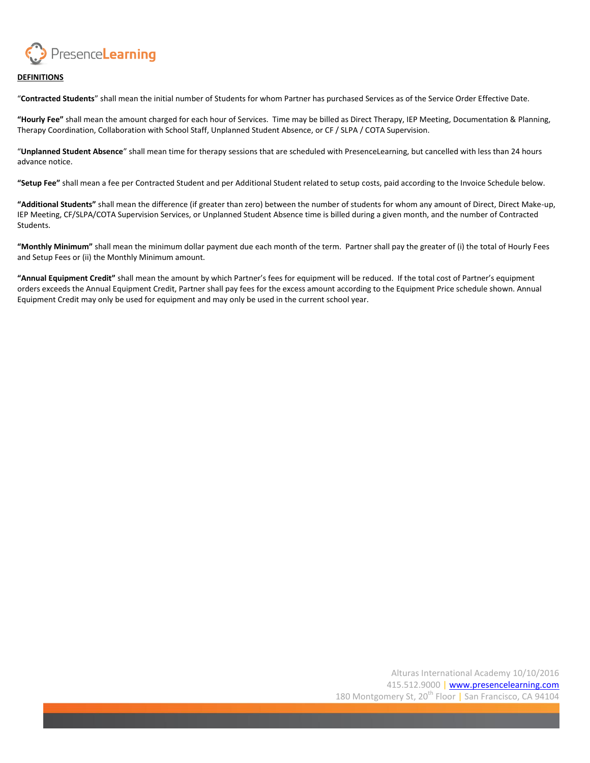

### **DEFINITIONS**

"**Contracted Students**" shall mean the initial number of Students for whom Partner has purchased Services as of the Service Order Effective Date.

**"Hourly Fee"** shall mean the amount charged for each hour of Services. Time may be billed as Direct Therapy, IEP Meeting, Documentation & Planning, Therapy Coordination, Collaboration with School Staff, Unplanned Student Absence, or CF / SLPA / COTA Supervision.

"**Unplanned Student Absence**" shall mean time for therapy sessions that are scheduled with PresenceLearning, but cancelled with less than 24 hours advance notice.

**"Setup Fee"** shall mean a fee per Contracted Student and per Additional Student related to setup costs, paid according to the Invoice Schedule below.

**"Additional Students"** shall mean the difference (if greater than zero) between the number of students for whom any amount of Direct, Direct Make-up, IEP Meeting, CF/SLPA/COTA Supervision Services, or Unplanned Student Absence time is billed during a given month, and the number of Contracted Students.

**"Monthly Minimum"** shall mean the minimum dollar payment due each month of the term. Partner shall pay the greater of (i) the total of Hourly Fees and Setup Fees or (ii) the Monthly Minimum amount.

**"Annual Equipment Credit"** shall mean the amount by which Partner's fees for equipment will be reduced. If the total cost of Partner's equipment orders exceeds the Annual Equipment Credit, Partner shall pay fees for the excess amount according to the Equipment Price schedule shown. Annual Equipment Credit may only be used for equipment and may only be used in the current school year.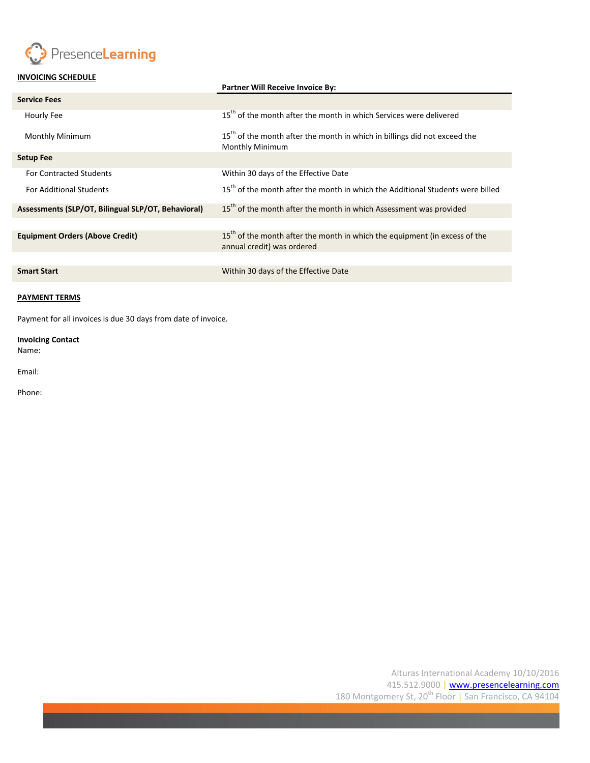

# **INVOICING SCHEDULE**

|                                                    | <b>Partner Will Receive Invoice By:</b>                                                                              |
|----------------------------------------------------|----------------------------------------------------------------------------------------------------------------------|
| <b>Service Fees</b>                                |                                                                                                                      |
| Hourly Fee                                         | 15 <sup>th</sup> of the month after the month in which Services were delivered                                       |
| <b>Monthly Minimum</b>                             | 15 <sup>th</sup> of the month after the month in which in billings did not exceed the<br><b>Monthly Minimum</b>      |
| <b>Setup Fee</b>                                   |                                                                                                                      |
| <b>For Contracted Students</b>                     | Within 30 days of the Effective Date                                                                                 |
| <b>For Additional Students</b>                     | 15 <sup>th</sup> of the month after the month in which the Additional Students were billed                           |
| Assessments (SLP/OT, Bilingual SLP/OT, Behavioral) | $15th$ of the month after the month in which Assessment was provided                                                 |
|                                                    |                                                                                                                      |
| <b>Equipment Orders (Above Credit)</b>             | 15 <sup>th</sup> of the month after the month in which the equipment (in excess of the<br>annual credit) was ordered |
|                                                    |                                                                                                                      |
| <b>Smart Start</b>                                 | Within 30 days of the Effective Date                                                                                 |

### **PAYMENT TERMS**

Payment for all invoices is due 30 days from date of invoice.

## **Invoicing Contact** Name:

Email:

Phone: